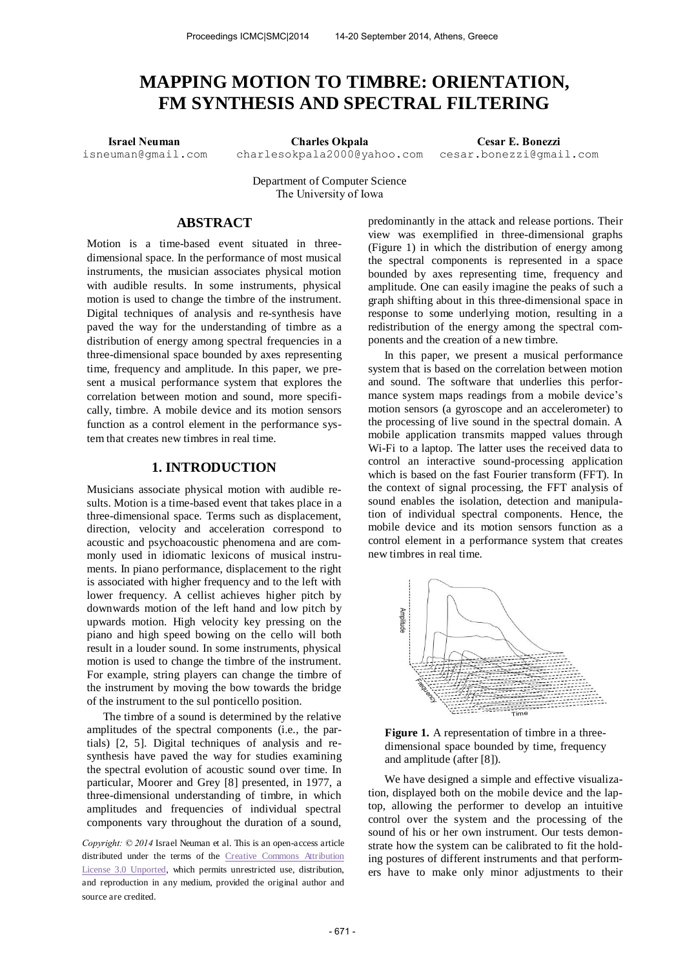# **MAPPING MOTION TO TIMBRE: ORIENTATION, FM SYNTHESIS AND SPECTRAL FILTERING**

**Israel Neuman Charles Okpala Cesar E. Bonezzi**  charlesokpala2000@yahoo.com

cesar.bonezzi@gmail.com

Department of Computer Science The University of Iowa

# **ABSTRACT**

Motion is a time-based event situated in threedimensional space. In the performance of most musical instruments, the musician associates physical motion with audible results. In some instruments, physical motion is used to change the timbre of the instrument. Digital techniques of analysis and re-synthesis have paved the way for the understanding of timbre as a distribution of energy among spectral frequencies in a three-dimensional space bounded by axes representing time, frequency and amplitude. In this paper, we present a musical performance system that explores the correlation between motion and sound, more specifically, timbre. A mobile device and its motion sensors function as a control element in the performance system that creates new timbres in real time.

#### **1. INTRODUCTION**

Musicians associate physical motion with audible results. Motion is a time-based event that takes place in a three-dimensional space. Terms such as displacement, direction, velocity and acceleration correspond to acoustic and psychoacoustic phenomena and are commonly used in idiomatic lexicons of musical instruments. In piano performance, displacement to the right is associated with higher frequency and to the left with lower frequency. A cellist achieves higher pitch by downwards motion of the left hand and low pitch by upwards motion. High velocity key pressing on the piano and high speed bowing on the cello will both result in a louder sound. In some instruments, physical motion is used to change the timbre of the instrument. For example, string players can change the timbre of the instrument by moving the bow towards the bridge of the instrument to the sul ponticello position.

The timbre of a sound is determined by the relative amplitudes of the spectral components (i.e., the partials) [2, 5]. Digital techniques of analysis and resynthesis have paved the way for studies examining the spectral evolution of acoustic sound over time. In particular, Moorer and Grey [8] presented, in 1977, a three-dimensional understanding of timbre, in which amplitudes and frequencies of individual spectral components vary throughout the duration of a sound,

*Copyright: © 2014* Israel Neuman et al. This is an open-access article distributed under the terms of the [Creative Commons Attribution](http://creativecommons.org/licenses/by/3.0/)  [License 3.0 Unported,](http://creativecommons.org/licenses/by/3.0/) which permits unrestricted use, distribution, and reproduction in any medium, provided the original author and source are credited.

predominantly in the attack and release portions. Their view was exemplified in three-dimensional graphs (Figure 1) in which the distribution of energy among the spectral components is represented in a space bounded by axes representing time, frequency and amplitude. One can easily imagine the peaks of such a graph shifting about in this three-dimensional space in response to some underlying motion, resulting in a redistribution of the energy among the spectral components and the creation of a new timbre.

In this paper, we present a musical performance system that is based on the correlation between motion and sound. The software that underlies this performance system maps readings from a mobile device's motion sensors (a gyroscope and an accelerometer) to the processing of live sound in the spectral domain. A mobile application transmits mapped values through Wi-Fi to a laptop. The latter uses the received data to control an interactive sound-processing application which is based on the fast Fourier transform (FFT). In the context of signal processing, the FFT analysis of sound enables the isolation, detection and manipulation of individual spectral components. Hence, the mobile device and its motion sensors function as a control element in a performance system that creates new timbres in real time.





We have designed a simple and effective visualization, displayed both on the mobile device and the laptop, allowing the performer to develop an intuitive control over the system and the processing of the sound of his or her own instrument. Our tests demonstrate how the system can be calibrated to fit the holding postures of different instruments and that performers have to make only minor adjustments to their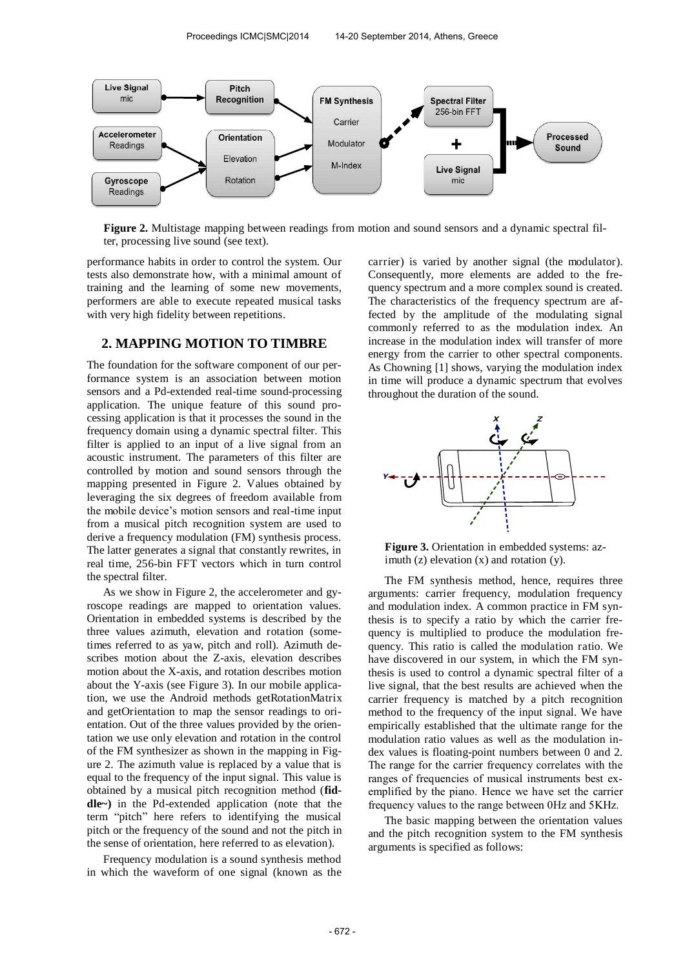

**Figure 2.** Multistage mapping between readings from motion and sound sensors and a dynamic spectral filter, processing live sound (see text).

performance habits in order to control the system. Our tests also demonstrate how, with a minimal amount of training and the learning of some new movements, performers are able to execute repeated musical tasks with very high fidelity between repetitions.

#### **2. MAPPING MOTION TO TIMBRE**

The foundation for the software component of our performance system is an association between motion sensors and a Pd-extended real-time sound-processing application. The unique feature of this sound processing application is that it processes the sound in the frequency domain using a dynamic spectral filter. This filter is applied to an input of a live signal from an acoustic instrument. The parameters of this filter are controlled by motion and sound sensors through the mapping presented in Figure 2. Values obtained by leveraging the six degrees of freedom available from the mobile device's motion sensors and real-time input from a musical pitch recognition system are used to derive a frequency modulation (FM) synthesis process. The latter generates a signal that constantly rewrites, in real time, 256-bin FFT vectors which in turn control the spectral filter.

As we show in Figure 2, the accelerometer and gyroscope readings are mapped to orientation values. Orientation in embedded systems is described by the three values azimuth, elevation and rotation (sometimes referred to as yaw, pitch and roll). Azimuth describes motion about the Z-axis, elevation describes motion about the X-axis, and rotation describes motion about the Y-axis (see Figure 3). In our mobile application, we use the Android methods getRotationMatrix and getOrientation to map the sensor readings to orientation. Out of the three values provided by the orientation we use only elevation and rotation in the control of the FM synthesizer as shown in the mapping in Figure 2. The azimuth value is replaced by a value that is equal to the frequency of the input signal. This value is obtained by a musical pitch recognition method (**fiddle~)** in the Pd-extended application (note that the term "pitch" here refers to identifying the musical pitch or the frequency of the sound and not the pitch in the sense of orientation, here referred to as elevation).

Frequency modulation is a sound synthesis method in which the waveform of one signal (known as the carrier) is varied by another signal (the modulator). Consequently, more elements are added to the frequency spectrum and a more complex sound is created. The characteristics of the frequency spectrum are affected by the amplitude of the modulating signal commonly referred to as the modulation index. An increase in the modulation index will transfer of more energy from the carrier to other spectral components. As Chowning [1] shows, varying the modulation index in time will produce a dynamic spectrum that evolves throughout the duration of the sound.



**Figure 3.** Orientation in embedded systems: azimuth  $(z)$  elevation  $(x)$  and rotation  $(y)$ .

The FM synthesis method, hence, requires three arguments: carrier frequency, modulation frequency and modulation index. A common practice in FM synthesis is to specify a ratio by which the carrier frequency is multiplied to produce the modulation frequency. This ratio is called the modulation ratio. We have discovered in our system, in which the FM synthesis is used to control a dynamic spectral filter of a live signal, that the best results are achieved when the carrier frequency is matched by a pitch recognition method to the frequency of the input signal. We have empirically established that the ultimate range for the modulation ratio values as well as the modulation index values is floating-point numbers between 0 and 2. The range for the carrier frequency correlates with the ranges of frequencies of musical instruments best exemplified by the piano. Hence we have set the carrier frequency values to the range between 0Hz and 5KHz.

The basic mapping between the orientation values and the pitch recognition system to the FM synthesis arguments is specified as follows: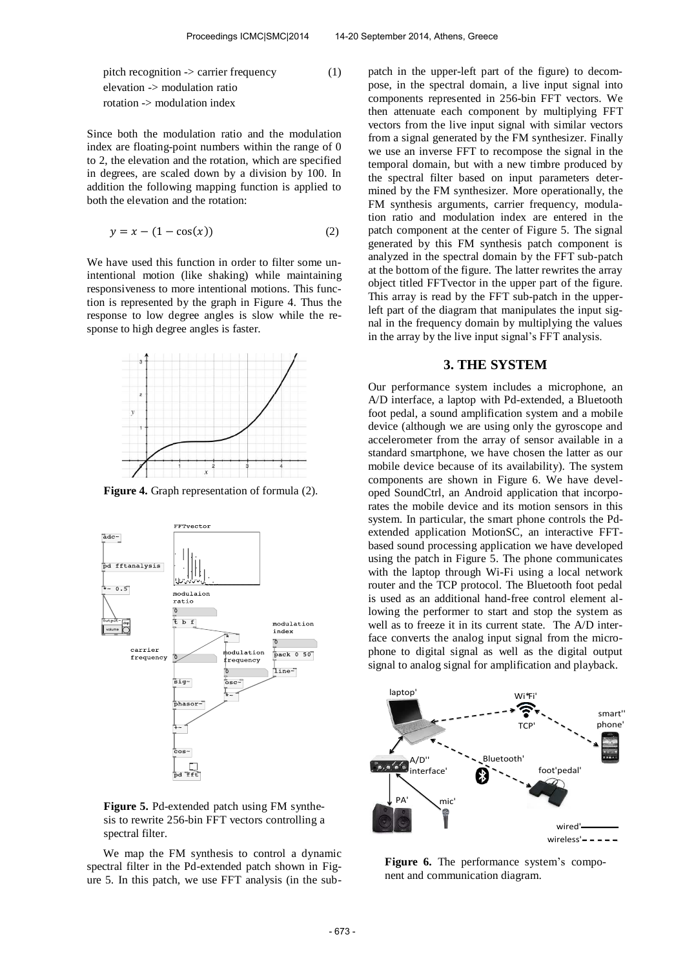pitch recognition  $\rightarrow$  carrier frequency (1) elevation -> modulation ratio rotation -> modulation index

Since both the modulation ratio and the modulation index are floating-point numbers within the range of 0 to 2, the elevation and the rotation, which are specified in degrees, are scaled down by a division by 100. In addition the following mapping function is applied to both the elevation and the rotation:

$$
y = x - (1 - \cos(x)) \tag{2}
$$

We have used this function in order to filter some unintentional motion (like shaking) while maintaining responsiveness to more intentional motions. This function is represented by the graph in Figure 4. Thus the response to low degree angles is slow while the response to high degree angles is faster.



**Figure 4.** Graph representation of formula (2).



**Figure 5.** Pd-extended patch using FM synthesis to rewrite 256-bin FFT vectors controlling a spectral filter.

We map the FM synthesis to control a dynamic spectral filter in the Pd-extended patch shown in Figure 5. In this patch, we use FFT analysis (in the subpatch in the upper-left part of the figure) to decompose, in the spectral domain, a live input signal into components represented in 256-bin FFT vectors. We then attenuate each component by multiplying FFT vectors from the live input signal with similar vectors from a signal generated by the FM synthesizer. Finally we use an inverse FFT to recompose the signal in the temporal domain, but with a new timbre produced by the spectral filter based on input parameters determined by the FM synthesizer. More operationally, the FM synthesis arguments, carrier frequency, modulation ratio and modulation index are entered in the patch component at the center of Figure 5. The signal generated by this FM synthesis patch component is analyzed in the spectral domain by the FFT sub-patch at the bottom of the figure. The latter rewrites the array object titled FFTvector in the upper part of the figure. This array is read by the FFT sub-patch in the upperleft part of the diagram that manipulates the input signal in the frequency domain by multiplying the values in the array by the live input signal's FFT analysis.

## **3. THE SYSTEM**

Our performance system includes a microphone, an A/D interface, a laptop with Pd-extended, a Bluetooth foot pedal, a sound amplification system and a mobile device (although we are using only the gyroscope and accelerometer from the array of sensor available in a standard smartphone, we have chosen the latter as our mobile device because of its availability). The system components are shown in Figure 6. We have developed SoundCtrl, an Android application that incorporates the mobile device and its motion sensors in this system. In particular, the smart phone controls the Pdextended application MotionSC, an interactive FFTbased sound processing application we have developed using the patch in Figure 5. The phone communicates with the laptop through Wi-Fi using a local network router and the TCP protocol. The Bluetooth foot pedal is used as an additional hand-free control element allowing the performer to start and stop the system as well as to freeze it in its current state. The A/D interface converts the analog input signal from the microphone to digital signal as well as the digital output signal to analog signal for amplification and playback.



**Figure 6.** The performance system's component and communication diagram.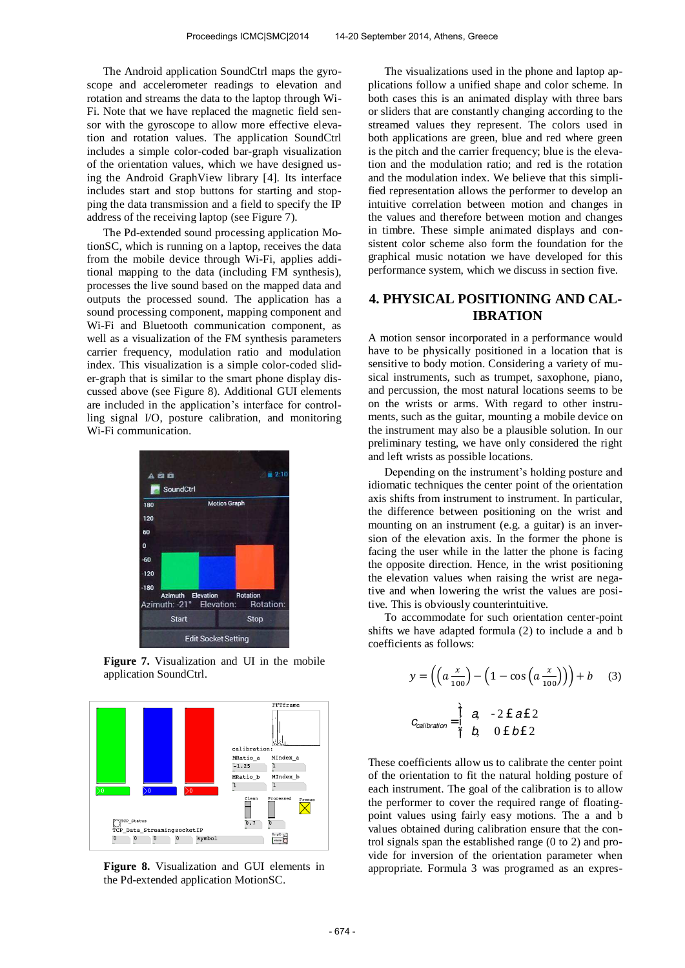The Android application SoundCtrl maps the gyroscope and accelerometer readings to elevation and rotation and streams the data to the laptop through Wi-Fi. Note that we have replaced the magnetic field sensor with the gyroscope to allow more effective elevation and rotation values. The application SoundCtrl includes a simple color-coded bar-graph visualization of the orientation values, which we have designed using the Android GraphView library [4]. Its interface includes start and stop buttons for starting and stopping the data transmission and a field to specify the IP address of the receiving laptop (see Figure 7).

The Pd-extended sound processing application MotionSC, which is running on a laptop, receives the data from the mobile device through Wi-Fi, applies additional mapping to the data (including FM synthesis), processes the live sound based on the mapped data and outputs the processed sound. The application has a sound processing component, mapping component and Wi-Fi and Bluetooth communication component, as well as a visualization of the FM synthesis parameters carrier frequency, modulation ratio and modulation index. This visualization is a simple color-coded slider-graph that is similar to the smart phone display discussed above (see Figure 8). Additional GUI elements are included in the application's interface for controlling signal I/O, posture calibration, and monitoring Wi-Fi communication.



**Figure 7.** Visualization and UI in the mobile application SoundCtrl.



**Figure 8.** Visualization and GUI elements in the Pd-extended application MotionSC.

The visualizations used in the phone and laptop applications follow a unified shape and color scheme. In both cases this is an animated display with three bars or sliders that are constantly changing according to the streamed values they represent. The colors used in both applications are green, blue and red where green is the pitch and the carrier frequency; blue is the elevation and the modulation ratio; and red is the rotation and the modulation index. We believe that this simplified representation allows the performer to develop an intuitive correlation between motion and changes in the values and therefore between motion and changes in timbre. These simple animated displays and consistent color scheme also form the foundation for the graphical music notation we have developed for this performance system, which we discuss in section five.

# **4. PHYSICAL POSITIONING AND CAL-IBRATION**

A motion sensor incorporated in a performance would have to be physically positioned in a location that is sensitive to body motion. Considering a variety of musical instruments, such as trumpet, saxophone, piano, and percussion, the most natural locations seems to be on the wrists or arms. With regard to other instruments, such as the guitar, mounting a mobile device on the instrument may also be a plausible solution. In our preliminary testing, we have only considered the right and left wrists as possible locations.

Depending on the instrument's holding posture and idiomatic techniques the center point of the orientation axis shifts from instrument to instrument. In particular, the difference between positioning on the wrist and mounting on an instrument (e.g. a guitar) is an inversion of the elevation axis. In the former the phone is facing the user while in the latter the phone is facing the opposite direction. Hence, in the wrist positioning the elevation values when raising the wrist are negative and when lowering the wrist the values are positive. This is obviously counterintuitive.

To accommodate for such orientation center-point shifts we have adapted formula (2) to include a and b coefficients as follows:

$$
y = \left( \left( a \frac{x}{100} \right) - \left( 1 - \cos \left( a \frac{x}{100} \right) \right) \right) + b \quad (3)
$$
  

$$
c_{\text{calibration}} = \begin{vmatrix} a & 2 & a & 2 \\ b & 0 & b & 2 \end{vmatrix}
$$

These coefficients allow us to calibrate the center point of the orientation to fit the natural holding posture of each instrument. The goal of the calibration is to allow the performer to cover the required range of floatingpoint values using fairly easy motions. The a and b values obtained during calibration ensure that the control signals span the established range (0 to 2) and provide for inversion of the orientation parameter when appropriate. Formula 3 was programed as an expres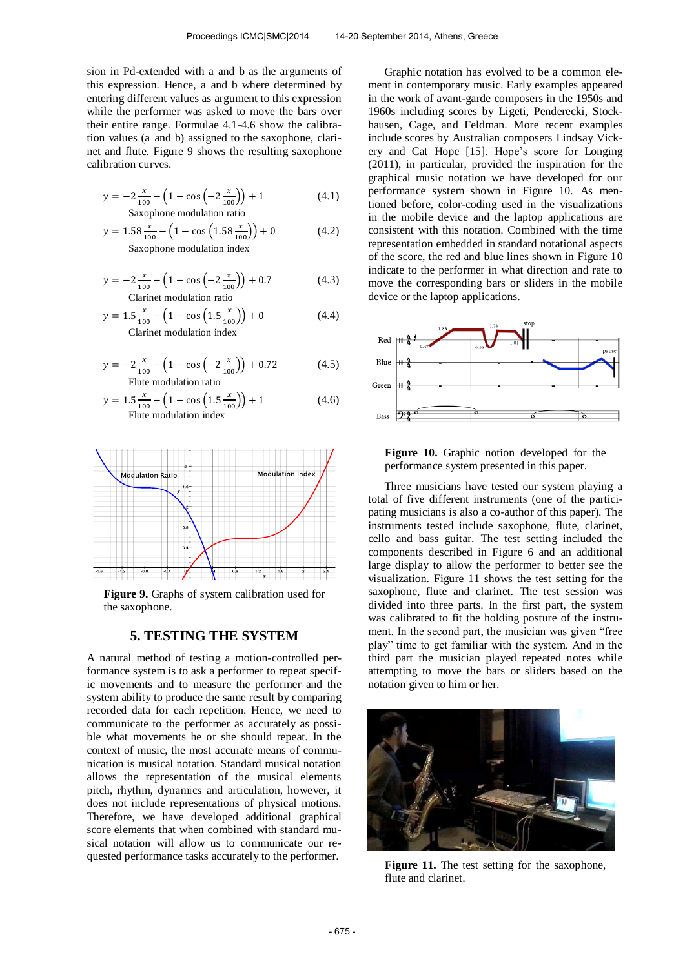sion in Pd-extended with a and b as the arguments of this expression. Hence, a and b where determined by entering different values as argument to this expression while the performer was asked to move the bars over their entire range. Formulae 4.1-4.6 show the calibration values (a and b) assigned to the saxophone, clarinet and flute. Figure 9 shows the resulting saxophone calibration curves.

$$
y = -2\frac{x}{100} - \left(1 - \cos\left(-2\frac{x}{100}\right)\right) + 1
$$
 (4.1)  
Saxophone modulation ratio

$$
y = 1.58 \frac{x}{100} - \left(1 - \cos\left(1.58 \frac{x}{100}\right)\right) + 0
$$
 (4.2)  
Saxobone modulation index

$$
y = -2\frac{x}{100} - \left(1 - \cos\left(-2\frac{x}{100}\right)\right) + 0.7\tag{4.3}
$$
  
Clarinet modulation ratio

$$
y = 1.5 \frac{x}{100} - \left(1 - \cos\left(1.5 \frac{x}{100}\right)\right) + 0
$$
 (4.4)  
Clarinet modulation index

$$
y = -2\frac{x}{100} - \left(1 - \cos\left(-2\frac{x}{100}\right)\right) + 0.72
$$
 (4.5)  
Flute modulation ratio

$$
y = 1.5 \frac{x}{100} - \left(1 - \cos\left(1.5 \frac{x}{100}\right)\right) + 1
$$
 (4.6)  
Flute modulation index



**Figure 9.** Graphs of system calibration used for the saxophone.

#### **5. TESTING THE SYSTEM**

A natural method of testing a motion-controlled performance system is to ask a performer to repeat specific movements and to measure the performer and the system ability to produce the same result by comparing recorded data for each repetition. Hence, we need to communicate to the performer as accurately as possible what movements he or she should repeat. In the context of music, the most accurate means of communication is musical notation. Standard musical notation allows the representation of the musical elements pitch, rhythm, dynamics and articulation, however, it does not include representations of physical motions. Therefore, we have developed additional graphical score elements that when combined with standard musical notation will allow us to communicate our requested performance tasks accurately to the performer.

Graphic notation has evolved to be a common element in contemporary music. Early examples appeared in the work of avant-garde composers in the 1950s and 1960s including scores by Ligeti, Penderecki, Stockhausen, Cage, and Feldman. More recent examples include scores by Australian composers Lindsay Vickery and Cat Hope [15]. Hope's score for Longing (2011), in particular, provided the inspiration for the graphical music notation we have developed for our performance system shown in Figure 10. As mentioned before, color-coding used in the visualizations in the mobile device and the laptop applications are consistent with this notation. Combined with the time representation embedded in standard notational aspects of the score, the red and blue lines shown in Figure 10 indicate to the performer in what direction and rate to move the corresponding bars or sliders in the mobile device or the laptop applications.



**Figure 10.** Graphic notion developed for the performance system presented in this paper.

Three musicians have tested our system playing a total of five different instruments (one of the participating musicians is also a co-author of this paper). The instruments tested include saxophone, flute, clarinet, cello and bass guitar. The test setting included the components described in Figure 6 and an additional large display to allow the performer to better see the visualization. Figure 11 shows the test setting for the saxophone, flute and clarinet. The test session was divided into three parts. In the first part, the system was calibrated to fit the holding posture of the instrument. In the second part, the musician was given "free play" time to get familiar with the system. And in the third part the musician played repeated notes while attempting to move the bars or sliders based on the notation given to him or her.



**Figure 11.** The test setting for the saxophone, flute and clarinet.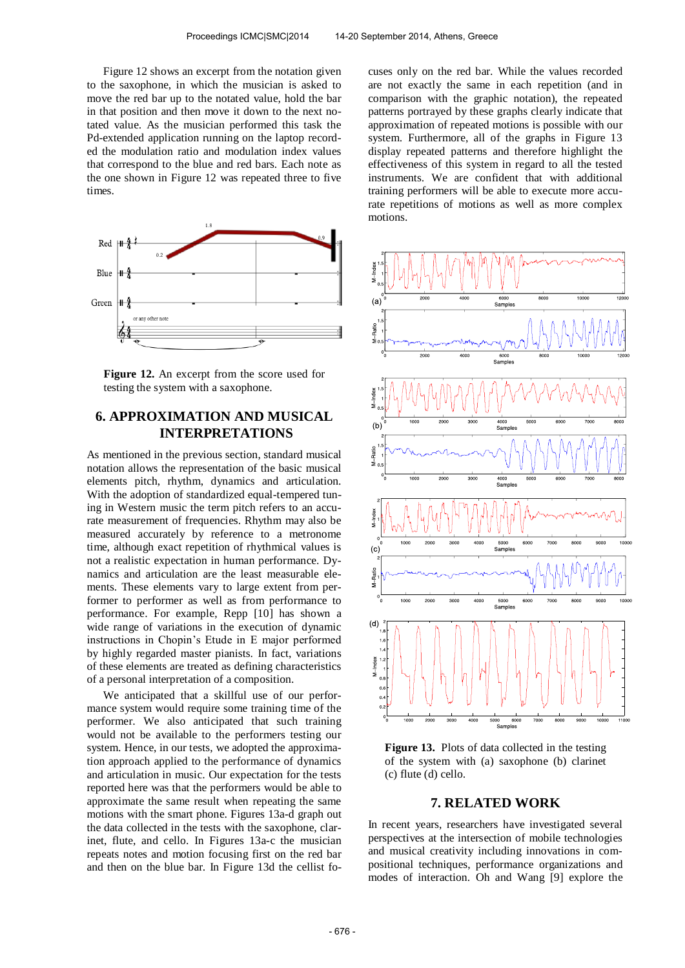Figure 12 shows an excerpt from the notation given to the saxophone, in which the musician is asked to move the red bar up to the notated value, hold the bar in that position and then move it down to the next notated value. As the musician performed this task the Pd-extended application running on the laptop recorded the modulation ratio and modulation index values that correspond to the blue and red bars. Each note as the one shown in Figure 12 was repeated three to five times.



**Figure 12.** An excerpt from the score used for testing the system with a saxophone.

# **6. APPROXIMATION AND MUSICAL INTERPRETATIONS**

As mentioned in the previous section, standard musical notation allows the representation of the basic musical elements pitch, rhythm, dynamics and articulation. With the adoption of standardized equal-tempered tuning in Western music the term pitch refers to an accurate measurement of frequencies. Rhythm may also be measured accurately by reference to a metronome time, although exact repetition of rhythmical values is not a realistic expectation in human performance. Dynamics and articulation are the least measurable elements. These elements vary to large extent from performer to performer as well as from performance to performance. For example, Repp [10] has shown a wide range of variations in the execution of dynamic instructions in Chopin's Etude in E major performed by highly regarded master pianists. In fact, variations of these elements are treated as defining characteristics of a personal interpretation of a composition.

We anticipated that a skillful use of our performance system would require some training time of the performer. We also anticipated that such training would not be available to the performers testing our system. Hence, in our tests, we adopted the approximation approach applied to the performance of dynamics and articulation in music. Our expectation for the tests reported here was that the performers would be able to approximate the same result when repeating the same motions with the smart phone. Figures 13a-d graph out the data collected in the tests with the saxophone, clarinet, flute, and cello. In Figures 13a-c the musician repeats notes and motion focusing first on the red bar and then on the blue bar. In Figure 13d the cellist focuses only on the red bar. While the values recorded are not exactly the same in each repetition (and in comparison with the graphic notation), the repeated patterns portrayed by these graphs clearly indicate that approximation of repeated motions is possible with our system. Furthermore, all of the graphs in Figure 13 display repeated patterns and therefore highlight the effectiveness of this system in regard to all the tested instruments. We are confident that with additional training performers will be able to execute more accurate repetitions of motions as well as more complex motions.



**Figure 13.** Plots of data collected in the testing of the system with (a) saxophone (b) clarinet (c) flute (d) cello.

# **7. RELATED WORK**

In recent years, researchers have investigated several perspectives at the intersection of mobile technologies and musical creativity including innovations in compositional techniques, performance organizations and modes of interaction. Oh and Wang [9] explore the